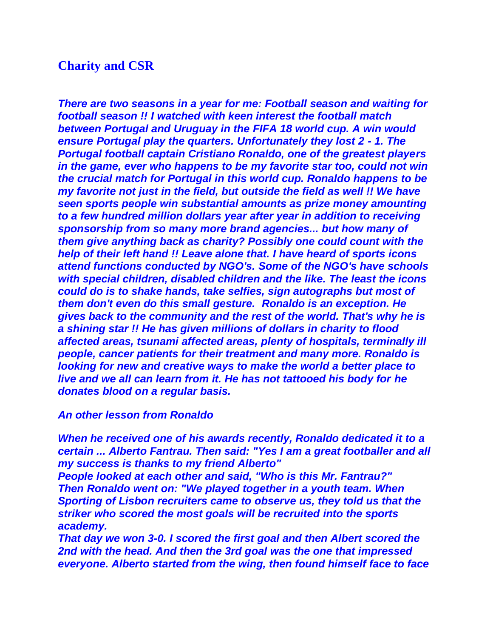## **Charity and CSR**

*There are two seasons in a year for me: Football season and waiting for football season !! I watched with keen interest the football match between Portugal and Uruguay in the FIFA 18 world cup. A win would ensure Portugal play the quarters. Unfortunately they lost 2 - 1. The Portugal football captain Cristiano Ronaldo, one of the greatest players in the game, ever who happens to be my favorite star too, could not win the crucial match for Portugal in this world cup. Ronaldo happens to be my favorite not just in the field, but outside the field as well !! We have seen sports people win substantial amounts as prize money amounting to a few hundred million dollars year after year in addition to receiving sponsorship from so many more brand agencies... but how many of them give anything back as charity? Possibly one could count with the help of their left hand !! Leave alone that. I have heard of sports icons attend functions conducted by NGO's. Some of the NGO's have schools with special children, disabled children and the like. The least the icons could do is to shake hands, take selfies, sign autographs but most of them don't even do this small gesture. Ronaldo is an exception. He gives back to the community and the rest of the world. That's why he is a shining star !! He has given millions of dollars in charity to flood affected areas, tsunami affected areas, plenty of hospitals, terminally ill people, cancer patients for their treatment and many more. Ronaldo is looking for new and creative ways to make the world a better place to live and we all can learn from it. He has not tattooed his body for he donates blood on a regular basis.*

## *An other lesson from Ronaldo*

*When he received one of his awards recently, Ronaldo dedicated it to a certain ... Alberto Fantrau. Then said: "Yes I am a great footballer and all my success is thanks to my friend Alberto"*

*People looked at each other and said, "Who is this Mr. Fantrau?" Then Ronaldo went on: "We played together in a youth team. When Sporting of Lisbon recruiters came to observe us, they told us that the striker who scored the most goals will be recruited into the sports academy.*

*That day we won 3-0. I scored the first goal and then Albert scored the 2nd with the head. And then the 3rd goal was the one that impressed everyone. Alberto started from the wing, then found himself face to face*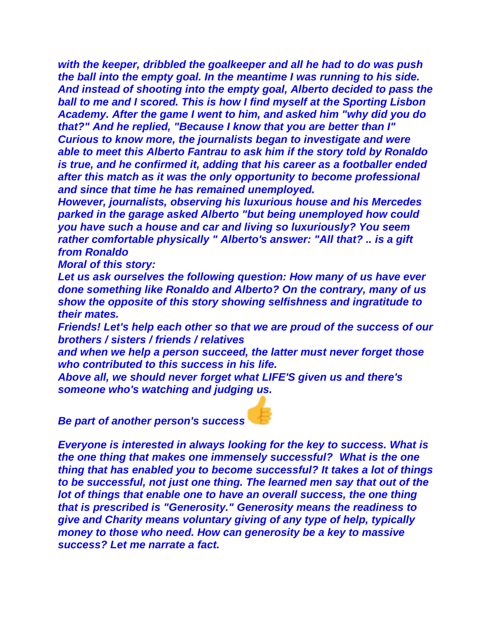*with the keeper, dribbled the goalkeeper and all he had to do was push the ball into the empty goal. In the meantime I was running to his side. And instead of shooting into the empty goal, Alberto decided to pass the ball to me and I scored. This is how I find myself at the Sporting Lisbon Academy. After the game I went to him, and asked him "why did you do that?" And he replied, "Because I know that you are better than I" Curious to know more, the journalists began to investigate and were able to meet this Alberto Fantrau to ask him if the story told by Ronaldo is true, and he confirmed it, adding that his career as a footballer ended after this match as it was the only opportunity to become professional and since that time he has remained unemployed.*

*However, journalists, observing his luxurious house and his Mercedes parked in the garage asked Alberto "but being unemployed how could you have such a house and car and living so luxuriously? You seem rather comfortable physically " Alberto's answer: "All that? .. is a gift from Ronaldo*

*Moral of this story:*

*Let us ask ourselves the following question: How many of us have ever done something like Ronaldo and Alberto? On the contrary, many of us show the opposite of this story showing selfishness and ingratitude to their mates.*

*Friends! Let's help each other so that we are proud of the success of our brothers / sisters / friends / relatives*

*and when we help a person succeed, the latter must never forget those who contributed to this success in his life.*

*Above all, we should never forget what LIFE'S given us and there's someone who's watching and judging us.*

*Be part of another person's success*

*Everyone is interested in always looking for the key to success. What is the one thing that makes one immensely successful? What is the one thing that has enabled you to become successful? It takes a lot of things to be successful, not just one thing. The learned men say that out of the lot of things that enable one to have an overall success, the one thing that is prescribed is "Generosity." Generosity means the readiness to give and Charity means voluntary giving of any type of help, typically money to those who need. How can generosity be a key to massive success? Let me narrate a fact.*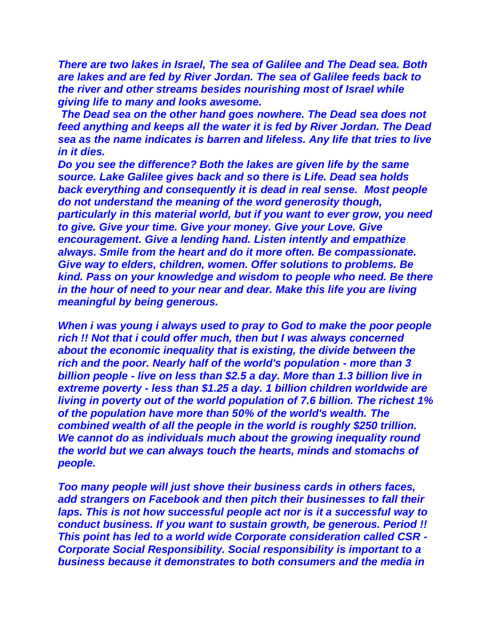*There are two lakes in Israel, The sea of Galilee and The Dead sea. Both are lakes and are fed by River Jordan. The sea of Galilee feeds back to the river and other streams besides nourishing most of Israel while giving life to many and looks awesome.*

*The Dead sea on the other hand goes nowhere. The Dead sea does not feed anything and keeps all the water it is fed by River Jordan. The Dead sea as the name indicates is barren and lifeless. Any life that tries to live in it dies.*

*Do you see the difference? Both the lakes are given life by the same source. Lake Galilee gives back and so there is Life. Dead sea holds back everything and consequently it is dead in real sense. Most people do not understand the meaning of the word generosity though, particularly in this material world, but if you want to ever grow, you need to give. Give your time. Give your money. Give your Love. Give encouragement. Give a lending hand. Listen intently and empathize always. Smile from the heart and do it more often. Be compassionate. Give way to elders, children, women. Offer solutions to problems. Be kind. Pass on your knowledge and wisdom to people who need. Be there in the hour of need to your near and dear. Make this life you are living meaningful by being generous.*

*When i was young i always used to pray to God to make the poor people rich !! Not that i could offer much, then but I was always concerned about the economic inequality that is existing, the divide between the rich and the poor. Nearly half of the world's population - more than 3 billion people - live on less than \$2.5 a day. More than 1.3 billion live in extreme poverty - less than \$1.25 a day. 1 billion children worldwide are living in poverty out of the world population of 7.6 billion. The richest 1% of the population have more than 50% of the world's wealth. The combined wealth of all the people in the world is roughly \$250 trillion. We cannot do as individuals much about the growing inequality round the world but we can always touch the hearts, minds and stomachs of people.*

*Too many people will just shove their business cards in others faces, add strangers on Facebook and then pitch their businesses to fall their laps. This is not how successful people act nor is it a successful way to conduct business. If you want to sustain growth, be generous. Period !! This point has led to a world wide Corporate consideration called CSR - Corporate Social Responsibility. Social responsibility is important to a business because it demonstrates to both consumers and the media in*